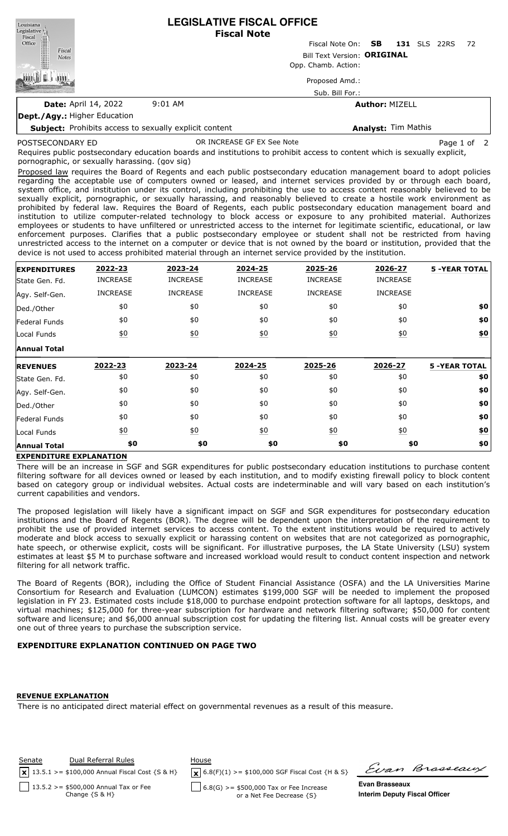| Louisiana<br>Legislative <sup>1</sup> .                       | <b>LEGISLATIVE FISCAL OFFICE</b><br><b>Fiscal Note</b> |                           |                     |      |             |  |  |
|---------------------------------------------------------------|--------------------------------------------------------|---------------------------|---------------------|------|-------------|--|--|
| Fiscal<br>Office                                              |                                                        | Fiscal Note On: <b>SB</b> | <b>131</b> SLS      | 22RS | 72          |  |  |
| Fiscal<br><b>Notes</b>                                        | Bill Text Version: ORIGINAL                            |                           |                     |      |             |  |  |
|                                                               | Opp. Chamb. Action:                                    |                           |                     |      |             |  |  |
|                                                               | Proposed Amd.:                                         |                           |                     |      |             |  |  |
|                                                               | Sub. Bill For.:                                        |                           |                     |      |             |  |  |
| <b>Date: April 14, 2022</b>                                   | $9:01$ AM                                              | <b>Author: MIZELL</b>     |                     |      |             |  |  |
| <b>Dept./Agy.: Higher Education</b>                           |                                                        |                           |                     |      |             |  |  |
| <b>Subject:</b> Prohibits access to sexually explicit content |                                                        |                           | Analyst: Tim Mathis |      |             |  |  |
| POSTSECONDARY ED                                              | OR INCREASE GF EX See Note                             |                           |                     |      | Page 1 of 2 |  |  |

Requires public postsecondary education boards and institutions to prohibit access to content which is sexually explicit, pornographic, or sexually harassing. (gov sig)

Proposed law requires the Board of Regents and each public postsecondary education management board to adopt policies regarding the acceptable use of computers owned or leased, and internet services provided by or through each board, system office, and institution under its control, including prohibiting the use to access content reasonably believed to be sexually explicit, pornographic, or sexually harassing, and reasonably believed to create a hostile work environment as prohibited by federal law. Requires the Board of Regents, each public postsecondary education management board and institution to utilize computer-related technology to block access or exposure to any prohibited material. Authorizes employees or students to have unfiltered or unrestricted access to the internet for legitimate scientific, educational, or law enforcement purposes. Clarifies that a public postsecondary employee or student shall not be restricted from having unrestricted access to the internet on a computer or device that is not owned by the board or institution, provided that the device is not used to access prohibited material through an internet service provided by the institution.

| <b>EXPENDITURES</b> | 2022-23           | 2023-24          | 2024-25           | 2025-26          | 2026-27          | <b>5 -YEAR TOTAL</b> |
|---------------------|-------------------|------------------|-------------------|------------------|------------------|----------------------|
| State Gen. Fd.      | <b>INCREASE</b>   | <b>INCREASE</b>  | <b>INCREASE</b>   | <b>INCREASE</b>  | <b>INCREASE</b>  |                      |
| Agy. Self-Gen.      | <b>INCREASE</b>   | <b>INCREASE</b>  | <b>INCREASE</b>   | <b>INCREASE</b>  | <b>INCREASE</b>  |                      |
| Ded./Other          | \$0               | \$0              | \$0               | \$0              | \$0              | \$0                  |
| Federal Funds       | \$0               | \$0              | \$0               | \$0              | \$0              | \$0                  |
| Local Funds         | $\underline{50}$  | $\underline{40}$ | $\underline{50}$  | $\underline{40}$ | $\underline{50}$ | \$0                  |
| <b>Annual Total</b> |                   |                  |                   |                  |                  |                      |
| <b>REVENUES</b>     | 2022-23           | 2023-24          | 2024-25           | 2025-26          | 2026-27          | <b>5 -YEAR TOTAL</b> |
| State Gen. Fd.      | \$0               | \$0              | \$0               | \$0              | \$0              | \$0                  |
| Agy. Self-Gen.      | \$0               | \$0              | \$0               | \$0              | \$0              | \$0                  |
| Ded./Other          | \$0               | \$0              | \$0               | \$0              | \$0              | \$0                  |
| Federal Funds       | \$0               | \$0              | \$0               | \$0              | \$0              | \$0                  |
| Local Funds         | $\underline{\$0}$ | $\underline{40}$ | $\underline{\$0}$ | $\underline{50}$ | $\underline{50}$ | <u>\$0</u>           |
| <b>Annual Total</b> | \$0               | \$0              | \$0               | \$0              | \$0              | \$0                  |

## **EXPENDITURE EXPLANATION**

There will be an increase in SGF and SGR expenditures for public postsecondary education institutions to purchase content filtering software for all devices owned or leased by each institution, and to modify existing firewall policy to block content based on category group or individual websites. Actual costs are indeterminable and will vary based on each institution's current capabilities and vendors.

The proposed legislation will likely have a significant impact on SGF and SGR expenditures for postsecondary education institutions and the Board of Regents (BOR). The degree will be dependent upon the interpretation of the requirement to prohibit the use of provided internet services to access content. To the extent institutions would be required to actively moderate and block access to sexually explicit or harassing content on websites that are not categorized as pornographic, hate speech, or otherwise explicit, costs will be significant. For illustrative purposes, the LA State University (LSU) system estimates at least \$5 M to purchase software and increased workload would result to conduct content inspection and network filtering for all network traffic.

The Board of Regents (BOR), including the Office of Student Financial Assistance (OSFA) and the LA Universities Marine Consortium for Research and Evaluation (LUMCON) estimates \$199,000 SGF will be needed to implement the proposed legislation in FY 23. Estimated costs include \$18,000 to purchase endpoint protection software for all laptops, desktops, and virtual machines; \$125,000 for three-year subscription for hardware and network filtering software; \$50,000 for content software and licensure; and \$6,000 annual subscription cost for updating the filtering list. Annual costs will be greater every one out of three years to purchase the subscription service.

## **EXPENDITURE EXPLANATION CONTINUED ON PAGE TWO**

## **REVENUE EXPLANATION**

There is no anticipated direct material effect on governmental revenues as a result of this measure.



Evan Brasseaux

**Evan Brasseaux Interim Deputy Fiscal Officer**

Change {S & H}